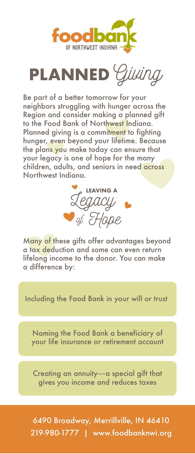



Be part of a better tomorrow for your neighbors struggling with hunger across the Region and consider making a planned gift to the Food Bank of Northwest Indiana. Planned giving is a commitment to fighting hunger, even beyond your lifetime. Because the plans you make today can ensure that your legacy is one of hope for the many children, adults, and seniors in need across Northwest Indiana.



Many of these gifts offer advantages beyond a tax deduction and some can even return lifelong income to the donor. You can make a difference by:

Including the Food Bank in your will or trust

Naming the Food Bank a beneficiary of your life insurance or retirement account

Creating an annuity—a special gift that gives you income and reduces taxes

6490 Broadway, Merrillville, IN 46410 219-980-1777 | www.foodbanknwi.org